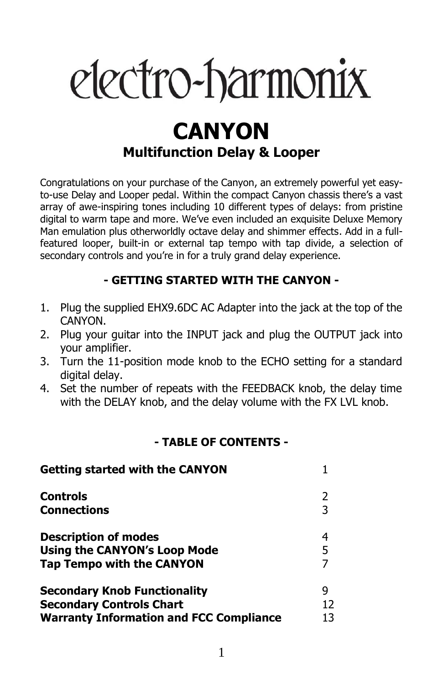# electro-harmonix

## **CANYON Multifunction Delay & Looper**

Congratulations on your purchase of the Canyon, an extremely powerful yet easyto-use Delay and Looper pedal. Within the compact Canyon chassis there's a vast array of awe-inspiring tones including 10 different types of delays: from pristine digital to warm tape and more. We've even included an exquisite Deluxe Memory Man emulation plus otherworldly octave delay and shimmer effects. Add in a fullfeatured looper, built-in or external tap tempo with tap divide, a selection of secondary controls and you're in for a truly grand delay experience.

#### **- GETTING STARTED WITH THE CANYON -**

- 1. Plug the supplied EHX9.6DC AC Adapter into the jack at the top of the CANYON.
- 2. Plug your guitar into the INPUT jack and plug the OUTPUT jack into your amplifier.
- 3. Turn the 11-position mode knob to the ECHO setting for a standard digital delay.
- 4. Set the number of repeats with the FEEDBACK knob, the delay time with the DELAY knob, and the delay volume with the FX LVL knob.

#### **- TABLE OF CONTENTS -**

| <b>Getting started with the CANYON</b>         |    |
|------------------------------------------------|----|
| <b>Controls</b>                                |    |
| <b>Connections</b>                             | 3  |
| <b>Description of modes</b>                    | 4  |
| <b>Using the CANYON's Loop Mode</b>            | 5  |
| <b>Tap Tempo with the CANYON</b>               |    |
| <b>Secondary Knob Functionality</b>            | q  |
| <b>Secondary Controls Chart</b>                | 12 |
| <b>Warranty Information and FCC Compliance</b> | 13 |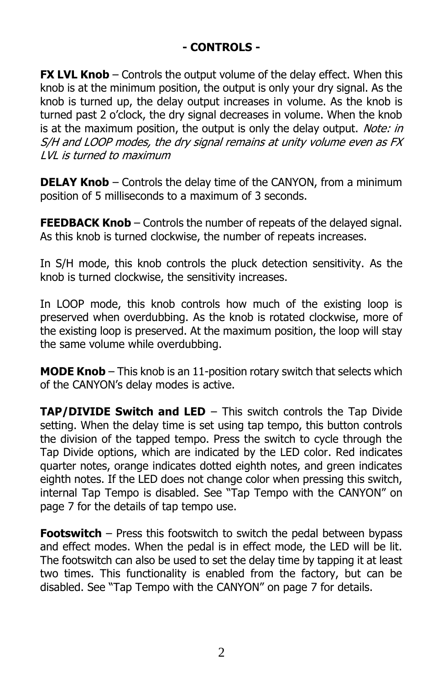#### **- CONTROLS -**

**FX LVL Knob** – Controls the output volume of the delay effect. When this knob is at the minimum position, the output is only your dry signal. As the knob is turned up, the delay output increases in volume. As the knob is turned past 2 o'clock, the dry signal decreases in volume. When the knob is at the maximum position, the output is only the delay output. Note: in S/H and LOOP modes, the dry signal remains at unity volume even as FX LVL is turned to maximum

**DELAY Knob** – Controls the delay time of the CANYON, from a minimum position of 5 milliseconds to a maximum of 3 seconds.

**FEEDBACK Knob** – Controls the number of repeats of the delayed signal. As this knob is turned clockwise, the number of repeats increases.

In S/H mode, this knob controls the pluck detection sensitivity. As the knob is turned clockwise, the sensitivity increases.

In LOOP mode, this knob controls how much of the existing loop is preserved when overdubbing. As the knob is rotated clockwise, more of the existing loop is preserved. At the maximum position, the loop will stay the same volume while overdubbing.

**MODE Knob** – This knob is an 11-position rotary switch that selects which of the CANYON's delay modes is active.

**TAP/DIVIDE Switch and LED** – This switch controls the Tap Divide setting. When the delay time is set using tap tempo, this button controls the division of the tapped tempo. Press the switch to cycle through the Tap Divide options, which are indicated by the LED color. Red indicates quarter notes, orange indicates dotted eighth notes, and green indicates eighth notes. If the LED does not change color when pressing this switch, internal Tap Tempo is disabled. See "Tap Tempo with the CANYON" on page 7 for the details of tap tempo use.

**Footswitch** – Press this footswitch to switch the pedal between bypass and effect modes. When the pedal is in effect mode, the LED will be lit. The footswitch can also be used to set the delay time by tapping it at least two times. This functionality is enabled from the factory, but can be disabled. See "Tap Tempo with the CANYON" on page 7 for details.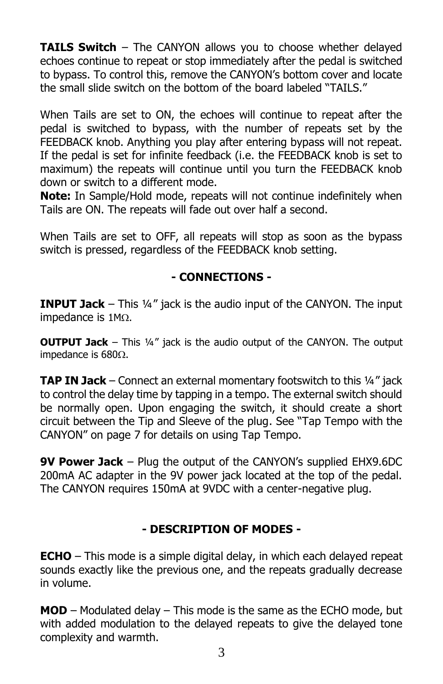**TAILS Switch** – The CANYON allows you to choose whether delayed echoes continue to repeat or stop immediately after the pedal is switched to bypass. To control this, remove the CANYON's bottom cover and locate the small slide switch on the bottom of the board labeled "TAILS."

When Tails are set to ON, the echoes will continue to repeat after the pedal is switched to bypass, with the number of repeats set by the FEEDBACK knob. Anything you play after entering bypass will not repeat. If the pedal is set for infinite feedback (i.e. the FEEDBACK knob is set to maximum) the repeats will continue until you turn the FEEDBACK knob down or switch to a different mode.

**Note:** In Sample/Hold mode, repeats will not continue indefinitely when Tails are ON. The repeats will fade out over half a second.

When Tails are set to OFF, all repeats will stop as soon as the bypass switch is pressed, regardless of the FEEDBACK knob setting.

#### **- CONNECTIONS -**

**INPUT Jack** – This ¼" jack is the audio input of the CANYON. The input impedance is  $1M<sub>\Omega</sub>$ .

**OUTPUT Jack** – This 1/4" jack is the audio output of the CANYON. The output impedance is  $680\Omega$ .

**TAP IN Jack** – Connect an external momentary footswitch to this 1/4" jack to control the delay time by tapping in a tempo. The external switch should be normally open. Upon engaging the switch, it should create a short circuit between the Tip and Sleeve of the plug. See "Tap Tempo with the CANYON" on page 7 for details on using Tap Tempo.

**9V Power Jack** – Plug the output of the CANYON's supplied EHX9.6DC 200mA AC adapter in the 9V power jack located at the top of the pedal. The CANYON requires 150mA at 9VDC with a center-negative plug.

#### **- DESCRIPTION OF MODES -**

**ECHO** – This mode is a simple digital delay, in which each delayed repeat sounds exactly like the previous one, and the repeats gradually decrease in volume.

**MOD** – Modulated delay – This mode is the same as the ECHO mode, but with added modulation to the delayed repeats to give the delayed tone complexity and warmth.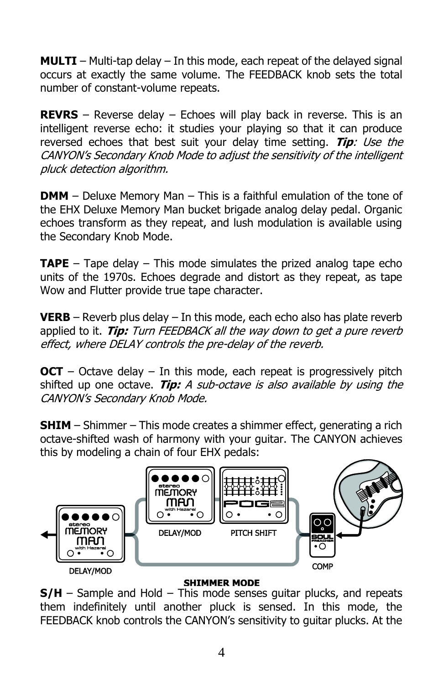**MULTI** – Multi-tap delay – In this mode, each repeat of the delayed signal occurs at exactly the same volume. The FEEDBACK knob sets the total number of constant-volume repeats.

**REVRS** – Reverse delay – Echoes will play back in reverse. This is an intelligent reverse echo: it studies your playing so that it can produce reversed echoes that best suit your delay time setting. **Tip**: Use the CANYON's Secondary Knob Mode to adjust the sensitivity of the intelligent pluck detection algorithm.

**DMM** – Deluxe Memory Man – This is a faithful emulation of the tone of the EHX Deluxe Memory Man bucket brigade analog delay pedal. Organic echoes transform as they repeat, and lush modulation is available using the Secondary Knob Mode.

**TAPE** – Tape delay – This mode simulates the prized analog tape echo units of the 1970s. Echoes degrade and distort as they repeat, as tape Wow and Flutter provide true tape character.

**VERB** – Reverb plus delay – In this mode, each echo also has plate reverb applied to it. **Tip:** Turn FEEDBACK all the way down to get a pure reverb effect, where DELAY controls the pre-delay of the reverb.

**OCT** – Octave delay – In this mode, each repeat is progressively pitch shifted up one octave. **Tip:** A sub-octave is also available by using the CANYON's Secondary Knob Mode.

**SHIM** – Shimmer – This mode creates a shimmer effect, generating a rich octave-shifted wash of harmony with your guitar. The CANYON achieves this by modeling a chain of four EHX pedals:



#### **SHIMMER MODE**

**S/H** – Sample and Hold – This mode senses guitar plucks, and repeats them indefinitely until another pluck is sensed. In this mode, the FEEDBACK knob controls the CANYON's sensitivity to guitar plucks. At the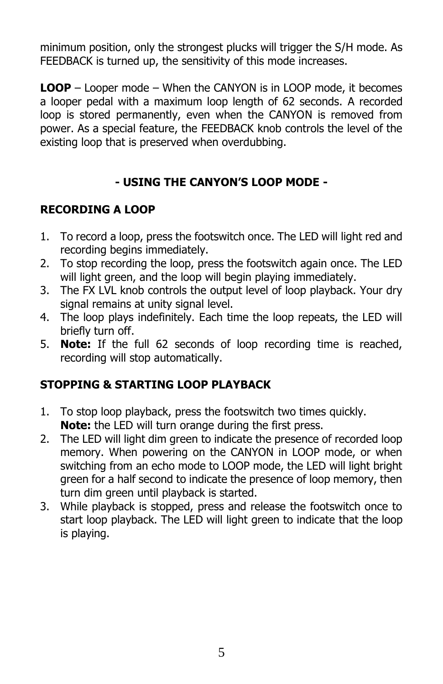minimum position, only the strongest plucks will trigger the S/H mode. As FEEDBACK is turned up, the sensitivity of this mode increases.

**LOOP** – Looper mode – When the CANYON is in LOOP mode, it becomes a looper pedal with a maximum loop length of 62 seconds. A recorded loop is stored permanently, even when the CANYON is removed from power. As a special feature, the FEEDBACK knob controls the level of the existing loop that is preserved when overdubbing.

#### **- USING THE CANYON'S LOOP MODE -**

#### **RECORDING A LOOP**

- 1. To record a loop, press the footswitch once. The LED will light red and recording begins immediately.
- 2. To stop recording the loop, press the footswitch again once. The LED will light green, and the loop will begin playing immediately.
- 3. The FX LVL knob controls the output level of loop playback. Your dry signal remains at unity signal level.
- 4. The loop plays indefinitely. Each time the loop repeats, the LED will briefly turn off.
- 5. **Note:** If the full 62 seconds of loop recording time is reached, recording will stop automatically.

#### **STOPPING & STARTING LOOP PLAYBACK**

- 1. To stop loop playback, press the footswitch two times quickly. **Note:** the LED will turn orange during the first press.
- 2. The LED will light dim green to indicate the presence of recorded loop memory. When powering on the CANYON in LOOP mode, or when switching from an echo mode to LOOP mode, the LED will light bright green for a half second to indicate the presence of loop memory, then turn dim green until playback is started.
- 3. While playback is stopped, press and release the footswitch once to start loop playback. The LED will light green to indicate that the loop is playing.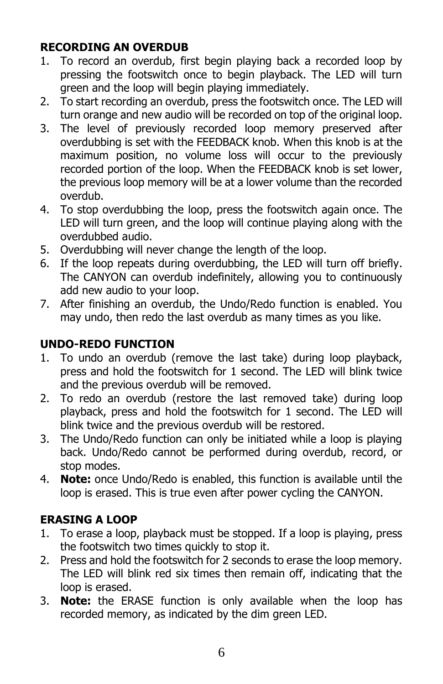#### **RECORDING AN OVERDUB**

- 1. To record an overdub, first begin playing back a recorded loop by pressing the footswitch once to begin playback. The LED will turn green and the loop will begin playing immediately.
- 2. To start recording an overdub, press the footswitch once. The LED will turn orange and new audio will be recorded on top of the original loop.
- 3. The level of previously recorded loop memory preserved after overdubbing is set with the FEEDBACK knob. When this knob is at the maximum position, no volume loss will occur to the previously recorded portion of the loop. When the FEEDBACK knob is set lower, the previous loop memory will be at a lower volume than the recorded overdub.
- 4. To stop overdubbing the loop, press the footswitch again once. The LED will turn green, and the loop will continue playing along with the overdubbed audio.
- 5. Overdubbing will never change the length of the loop.
- 6. If the loop repeats during overdubbing, the LED will turn off briefly. The CANYON can overdub indefinitely, allowing you to continuously add new audio to your loop.
- 7. After finishing an overdub, the Undo/Redo function is enabled. You may undo, then redo the last overdub as many times as you like.

## **UNDO-REDO FUNCTION**

- 1. To undo an overdub (remove the last take) during loop playback, press and hold the footswitch for 1 second. The LED will blink twice and the previous overdub will be removed.
- 2. To redo an overdub (restore the last removed take) during loop playback, press and hold the footswitch for 1 second. The LED will blink twice and the previous overdub will be restored.
- 3. The Undo/Redo function can only be initiated while a loop is playing back. Undo/Redo cannot be performed during overdub, record, or stop modes.
- 4. **Note:** once Undo/Redo is enabled, this function is available until the loop is erased. This is true even after power cycling the CANYON.

#### **ERASING A LOOP**

- 1. To erase a loop, playback must be stopped. If a loop is playing, press the footswitch two times quickly to stop it.
- 2. Press and hold the footswitch for 2 seconds to erase the loop memory. The LED will blink red six times then remain off, indicating that the loop is erased.
- 3. **Note:** the ERASE function is only available when the loop has recorded memory, as indicated by the dim green LED.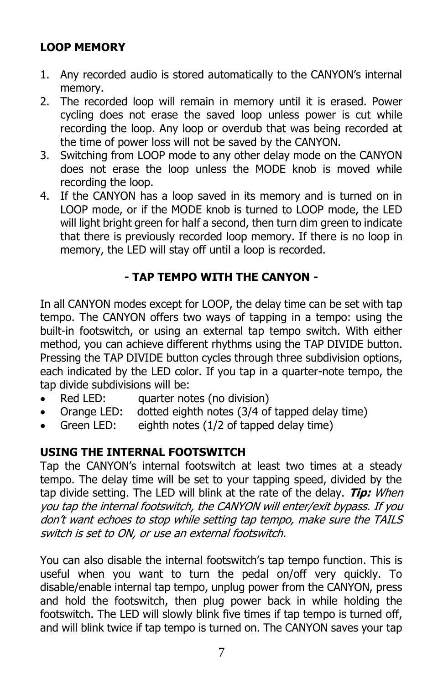## **LOOP MEMORY**

- 1. Any recorded audio is stored automatically to the CANYON's internal memory.
- 2. The recorded loop will remain in memory until it is erased. Power cycling does not erase the saved loop unless power is cut while recording the loop. Any loop or overdub that was being recorded at the time of power loss will not be saved by the CANYON.
- 3. Switching from LOOP mode to any other delay mode on the CANYON does not erase the loop unless the MODE knob is moved while recording the loop.
- 4. If the CANYON has a loop saved in its memory and is turned on in LOOP mode, or if the MODE knob is turned to LOOP mode, the LED will light bright green for half a second, then turn dim green to indicate that there is previously recorded loop memory. If there is no loop in memory, the LED will stay off until a loop is recorded.

#### **- TAP TEMPO WITH THE CANYON -**

In all CANYON modes except for LOOP, the delay time can be set with tap tempo. The CANYON offers two ways of tapping in a tempo: using the built-in footswitch, or using an external tap tempo switch. With either method, you can achieve different rhythms using the TAP DIVIDE button. Pressing the TAP DIVIDE button cycles through three subdivision options, each indicated by the LED color. If you tap in a quarter-note tempo, the tap divide subdivisions will be:

- Red LED: auarter notes (no division)
- Orange LED: dotted eighth notes (3/4 of tapped delay time)
- Green LED: eighth notes (1/2 of tapped delay time)

## **USING THE INTERNAL FOOTSWITCH**

Tap the CANYON's internal footswitch at least two times at a steady tempo. The delay time will be set to your tapping speed, divided by the tap divide setting. The LED will blink at the rate of the delay. **Tip:** When you tap the internal footswitch, the CANYON will enter/exit bypass. If you don't want echoes to stop while setting tap tempo, make sure the TAILS switch is set to ON, or use an external footswitch.

You can also disable the internal footswitch's tap tempo function. This is useful when you want to turn the pedal on/off very quickly. To disable/enable internal tap tempo, unplug power from the CANYON, press and hold the footswitch, then plug power back in while holding the footswitch. The LED will slowly blink five times if tap tempo is turned off, and will blink twice if tap tempo is turned on. The CANYON saves your tap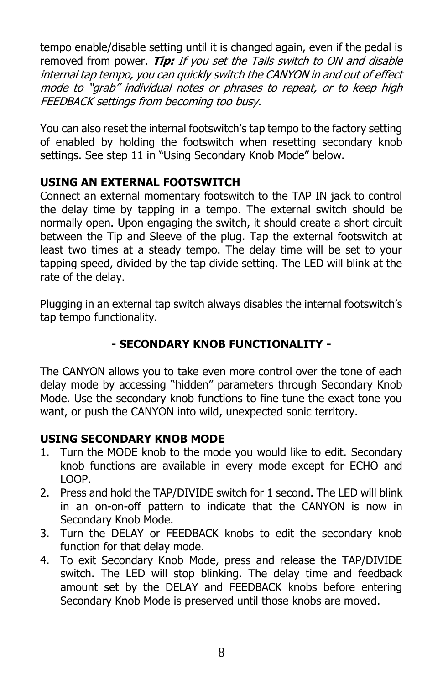tempo enable/disable setting until it is changed again, even if the pedal is removed from power. **Tip:** If you set the Tails switch to ON and disable internal tap tempo, you can quickly switch the CANYON in and out of effect mode to "grab" individual notes or phrases to repeat, or to keep high FEEDBACK settings from becoming too busy.

You can also reset the internal footswitch's tap tempo to the factory setting of enabled by holding the footswitch when resetting secondary knob settings. See step 11 in "Using Secondary Knob Mode" below.

#### **USING AN EXTERNAL FOOTSWITCH**

Connect an external momentary footswitch to the TAP IN jack to control the delay time by tapping in a tempo. The external switch should be normally open. Upon engaging the switch, it should create a short circuit between the Tip and Sleeve of the plug. Tap the external footswitch at least two times at a steady tempo. The delay time will be set to your tapping speed, divided by the tap divide setting. The LED will blink at the rate of the delay.

Plugging in an external tap switch always disables the internal footswitch's tap tempo functionality.

#### **- SECONDARY KNOB FUNCTIONALITY -**

The CANYON allows you to take even more control over the tone of each delay mode by accessing "hidden" parameters through Secondary Knob Mode. Use the secondary knob functions to fine tune the exact tone you want, or push the CANYON into wild, unexpected sonic territory.

#### **USING SECONDARY KNOB MODE**

- 1. Turn the MODE knob to the mode you would like to edit. Secondary knob functions are available in every mode except for ECHO and LOOP.
- 2. Press and hold the TAP/DIVIDE switch for 1 second. The LED will blink in an on-on-off pattern to indicate that the CANYON is now in Secondary Knob Mode.
- 3. Turn the DELAY or FEEDBACK knobs to edit the secondary knob function for that delay mode.
- 4. To exit Secondary Knob Mode, press and release the TAP/DIVIDE switch. The LED will stop blinking. The delay time and feedback amount set by the DELAY and FEEDBACK knobs before entering Secondary Knob Mode is preserved until those knobs are moved.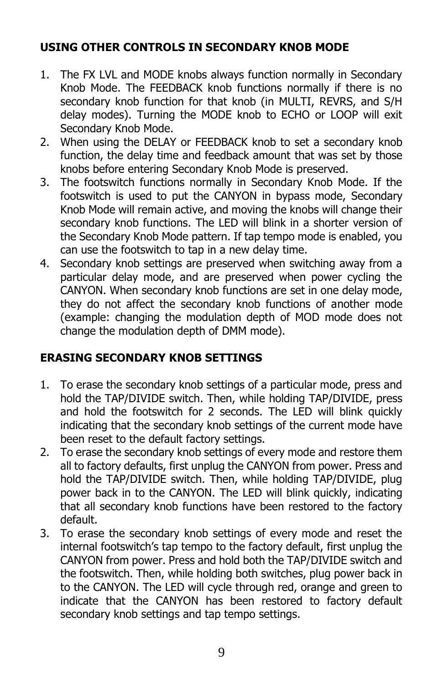#### **USING OTHER CONTROLS IN SECONDARY KNOB MODE**

- 1. The FX LVL and MODE knobs always function normally in Secondary Knob Mode. The FEEDBACK knob functions normally if there is no secondary knob function for that knob (in MULTI, REVRS, and S/H delay modes). Turning the MODE knob to ECHO or LOOP will exit Secondary Knob Mode.
- 2. When using the DELAY or FEEDBACK knob to set a secondary knob function, the delay time and feedback amount that was set by those knobs before entering Secondary Knob Mode is preserved.
- 3. The footswitch functions normally in Secondary Knob Mode. If the footswitch is used to put the CANYON in bypass mode, Secondary Knob Mode will remain active, and moving the knobs will change their secondary knob functions. The LED will blink in a shorter version of the Secondary Knob Mode pattern. If tap tempo mode is enabled, you can use the footswitch to tap in a new delay time.
- 4. Secondary knob settings are preserved when switching away from a particular delay mode, and are preserved when power cycling the CANYON. When secondary knob functions are set in one delay mode, they do not affect the secondary knob functions of another mode (example: changing the modulation depth of MOD mode does not change the modulation depth of DMM mode).

#### **ERASING SECONDARY KNOB SETTINGS**

- 1. To erase the secondary knob settings of a particular mode, press and hold the TAP/DIVIDE switch. Then, while holding TAP/DIVIDE, press and hold the footswitch for 2 seconds. The LED will blink quickly indicating that the secondary knob settings of the current mode have been reset to the default factory settings.
- 2. To erase the secondary knob settings of every mode and restore them all to factory defaults, first unplug the CANYON from power. Press and hold the TAP/DIVIDE switch. Then, while holding TAP/DIVIDE, plug power back in to the CANYON. The LED will blink quickly, indicating that all secondary knob functions have been restored to the factory default.
- 3. To erase the secondary knob settings of every mode and reset the internal footswitch's tap tempo to the factory default, first unplug the CANYON from power. Press and hold both the TAP/DIVIDE switch and the footswitch. Then, while holding both switches, plug power back in to the CANYON. The LED will cycle through red, orange and green to indicate that the CANYON has been restored to factory default secondary knob settings and tap tempo settings.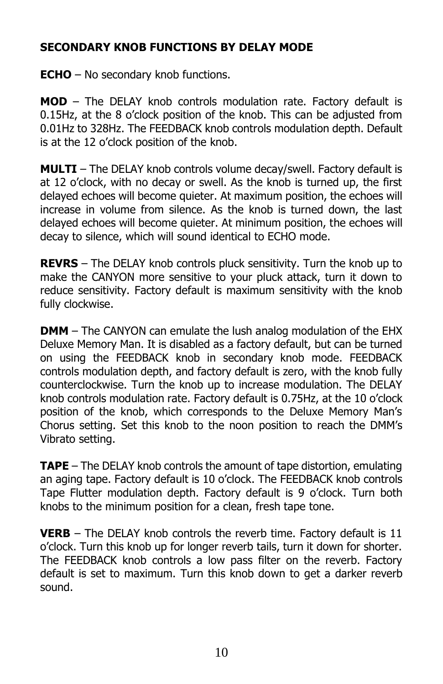#### **SECONDARY KNOB FUNCTIONS BY DELAY MODE**

**ECHO** – No secondary knob functions.

**MOD** – The DELAY knob controls modulation rate. Factory default is 0.15Hz, at the 8 o'clock position of the knob. This can be adjusted from 0.01Hz to 328Hz. The FEEDBACK knob controls modulation depth. Default is at the 12 o'clock position of the knob.

**MULTI** – The DELAY knob controls volume decay/swell. Factory default is at 12 o'clock, with no decay or swell. As the knob is turned up, the first delayed echoes will become quieter. At maximum position, the echoes will increase in volume from silence. As the knob is turned down, the last delayed echoes will become quieter. At minimum position, the echoes will decay to silence, which will sound identical to ECHO mode.

**REVRS** – The DELAY knob controls pluck sensitivity. Turn the knob up to make the CANYON more sensitive to your pluck attack, turn it down to reduce sensitivity. Factory default is maximum sensitivity with the knob fully clockwise.

**DMM** – The CANYON can emulate the lush analog modulation of the EHX Deluxe Memory Man. It is disabled as a factory default, but can be turned on using the FEEDBACK knob in secondary knob mode. FEEDBACK controls modulation depth, and factory default is zero, with the knob fully counterclockwise. Turn the knob up to increase modulation. The DELAY knob controls modulation rate. Factory default is 0.75Hz, at the 10 o'clock position of the knob, which corresponds to the Deluxe Memory Man's Chorus setting. Set this knob to the noon position to reach the DMM's Vibrato setting.

**TAPE** – The DELAY knob controls the amount of tape distortion, emulating an aging tape. Factory default is 10 o'clock. The FEEDBACK knob controls Tape Flutter modulation depth. Factory default is 9 o'clock. Turn both knobs to the minimum position for a clean, fresh tape tone.

**VERB** – The DELAY knob controls the reverb time. Factory default is 11 o'clock. Turn this knob up for longer reverb tails, turn it down for shorter. The FEEDBACK knob controls a low pass filter on the reverb. Factory default is set to maximum. Turn this knob down to get a darker reverb sound.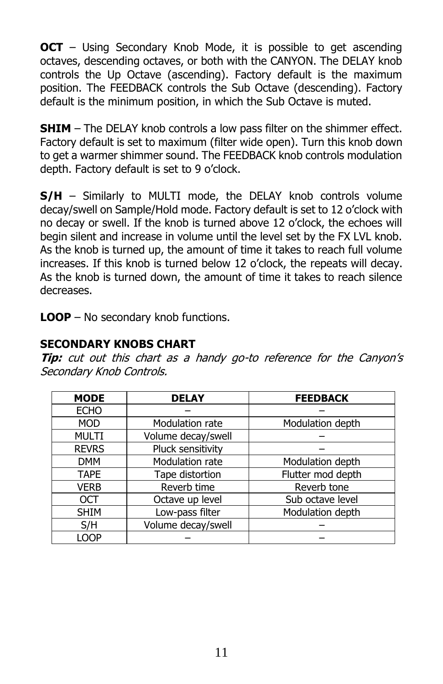**OCT** – Using Secondary Knob Mode, it is possible to get ascending octaves, descending octaves, or both with the CANYON. The DELAY knob controls the Up Octave (ascending). Factory default is the maximum position. The FEEDBACK controls the Sub Octave (descending). Factory default is the minimum position, in which the Sub Octave is muted.

**SHIM** – The DELAY knob controls a low pass filter on the shimmer effect. Factory default is set to maximum (filter wide open). Turn this knob down to get a warmer shimmer sound. The FEEDBACK knob controls modulation depth. Factory default is set to 9 o'clock.

**S/H** – Similarly to MULTI mode, the DELAY knob controls volume decay/swell on Sample/Hold mode. Factory default is set to 12 o'clock with no decay or swell. If the knob is turned above 12 o'clock, the echoes will begin silent and increase in volume until the level set by the FX LVL knob. As the knob is turned up, the amount of time it takes to reach full volume increases. If this knob is turned below 12 o'clock, the repeats will decay. As the knob is turned down, the amount of time it takes to reach silence decreases.

**LOOP** – No secondary knob functions.

#### **SECONDARY KNOBS CHART**

**Tip:** cut out this chart as a handy go-to reference for the Canyon's Secondary Knob Controls.

| <b>MODE</b>  | <b>DELAY</b>       | <b>FEEDBACK</b>   |
|--------------|--------------------|-------------------|
| <b>ECHO</b>  |                    |                   |
| <b>MOD</b>   | Modulation rate    | Modulation depth  |
| <b>MULTI</b> | Volume decay/swell |                   |
| <b>REVRS</b> | Pluck sensitivity  |                   |
| <b>DMM</b>   | Modulation rate    | Modulation depth  |
| <b>TAPE</b>  | Tape distortion    | Flutter mod depth |
| <b>VERB</b>  | Reverb time        | Reverb tone       |
| OCT          | Octave up level    | Sub octave level  |
| <b>SHIM</b>  | Low-pass filter    | Modulation depth  |
| S/H          | Volume decay/swell |                   |
| LOOP         |                    |                   |